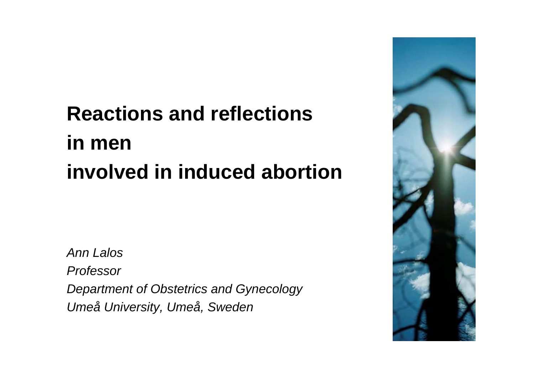## **Reactions and reflections in men involved in induced abortion**

*Ann Lalos*

*Professor*

*Department of Obstetrics and Gynecology Umeå University, Umeå, Sweden*

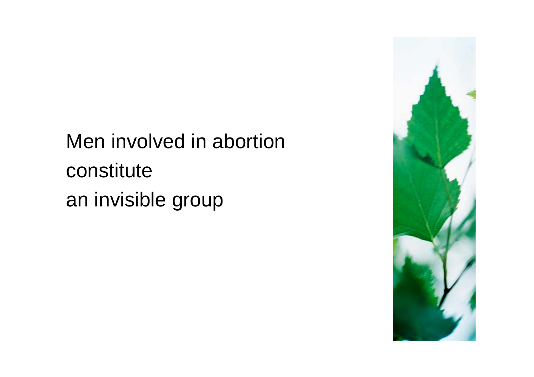Men involved in abortion constitute an invisible group

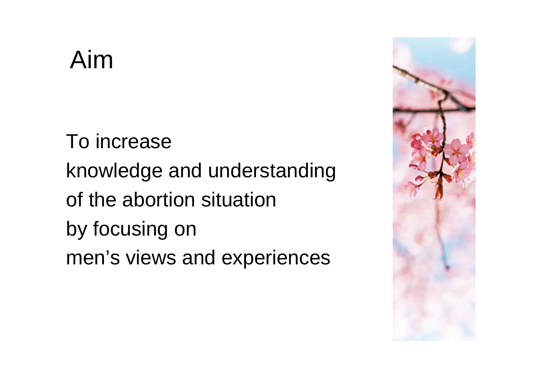# Aim

To increase knowledge and understanding of the abortion situation by focusing on men's views and experiences

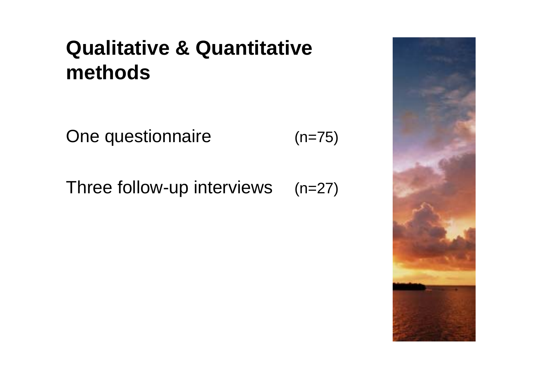### **Qualitative & Quantitative methods**

One questionnaire (n=75)

#### Three follow-up interviews (n=27)

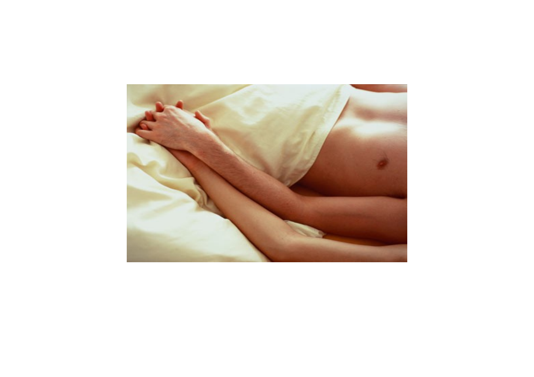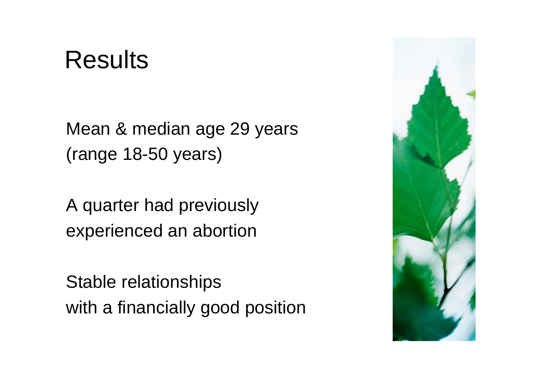## Results

Mean & median age 29 years (range 18-50 years)

A quarter had previously experienced an abortion

Stable relationships with a financially good position

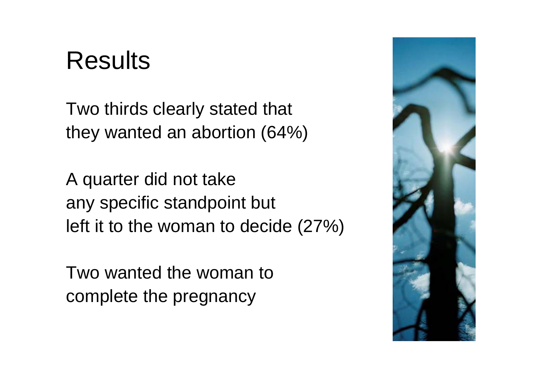## Results

Two thirds clearly stated that they wanted an abortion (64%)

A quarter did not take any specific standpoint but left it to the woman to decide (27%)

Two wanted the woman to complete the pregnancy

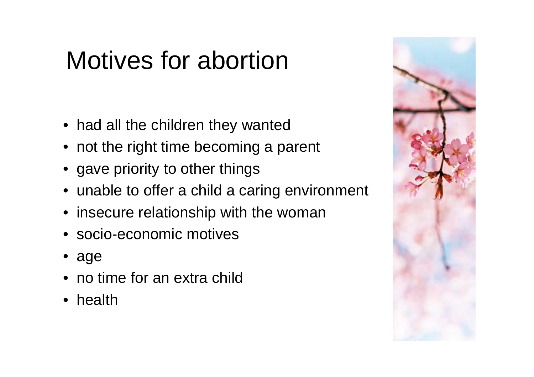# Motives for abortion

- had all the children they wanted
- not the right time becoming a parent
- gave priority to other things
- unable to offer a child a caring environment
- insecure relationship with the woman
- socio-economic motives
- age
- no time for an extra child
- health

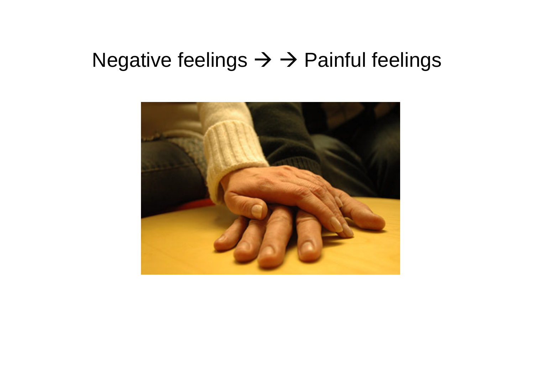### Negative feelings  $\rightarrow$   $\rightarrow$  Painful feelings

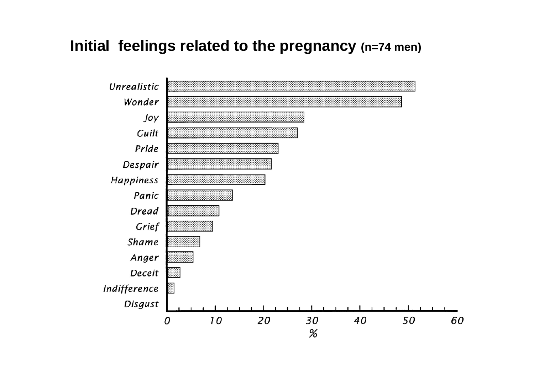#### **Initial feelings related to the pregnancy (n=74 men)**

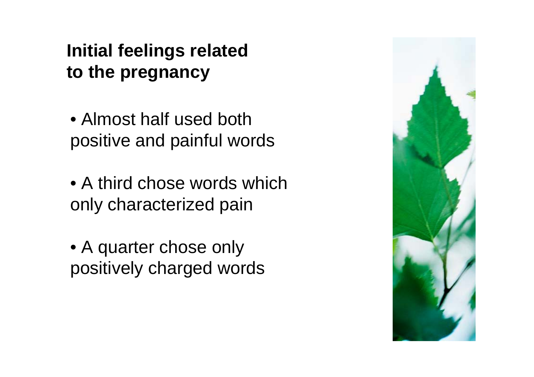#### **Initial feelings related to the pregnancy**

- Almost half used both positive and painful words
- A third chose words which only characterized pain
- A quarter chose only positively charged words

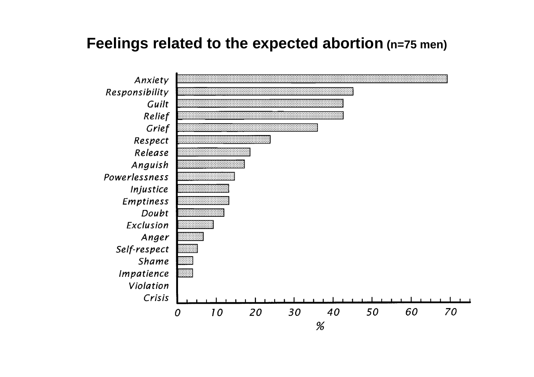#### **Feelings related to the expected abortion (n=75 men)**

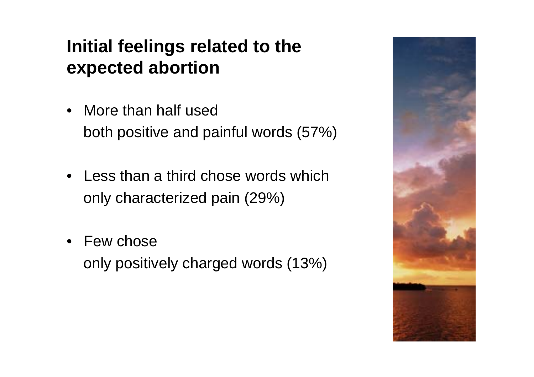#### **Initial feelings related to the expected abortion**

- More than half used both positive and painful words (57%)
- Less than a third chose words which only characterized pain (29%)
- Few chose only positively charged words (13%)

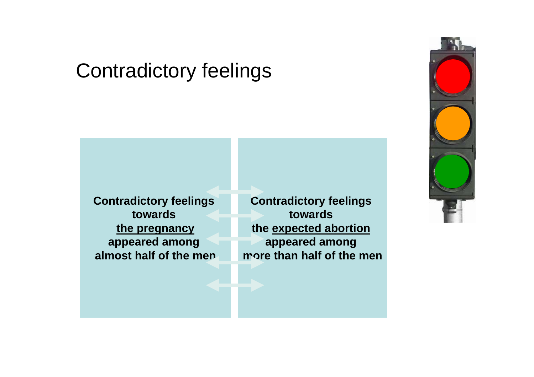### Contradictory feelings

**Contradictory feelings towards the pregnancy appeared among almost half of the men**

**Contradictory feelings towards the expected abortion appeared among more than half of the men**

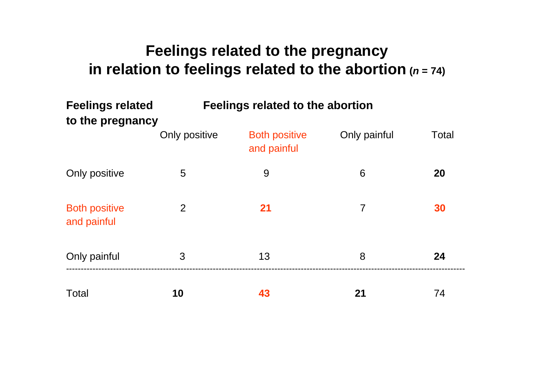#### **Feelings related to the pregnancy in relation to feelings related to the abortion (***n* **= 74)**

| <b>Feelings related</b><br>to the pregnancy | <b>Feelings related to the abortion</b> |                                     |                |              |
|---------------------------------------------|-----------------------------------------|-------------------------------------|----------------|--------------|
|                                             | Only positive                           | <b>Both positive</b><br>and painful | Only painful   | <b>Total</b> |
| Only positive                               | 5                                       | 9                                   | 6              | <b>20</b>    |
| <b>Both positive</b><br>and painful         | $\overline{2}$                          | 21                                  | $\overline{7}$ | 30           |
| Only painful                                | 3                                       | 13                                  | 8              | 24           |
| Total                                       | 10                                      | 43                                  | 21             | 74           |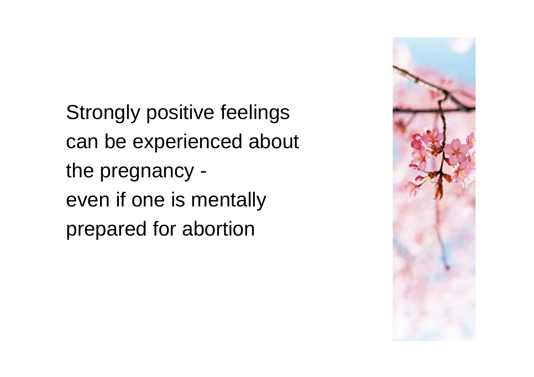Strongly positive feelings can be experienced about the pregnancy even if one is mentally prepared for abortion

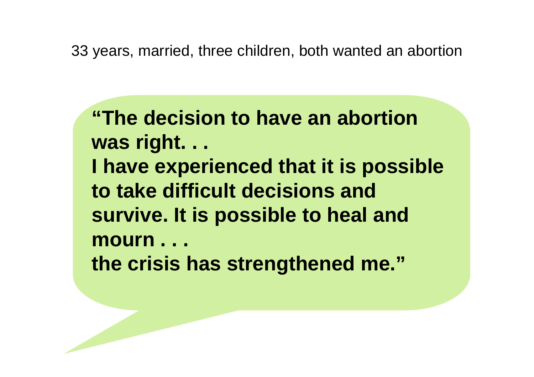33 years, married, three children, both wanted an abortion

**"The decision to have an abortion was right. . . I have experienced that it is possible to take difficult decisions and survive. It is possible to heal and mourn . . . the crisis has strengthened me."**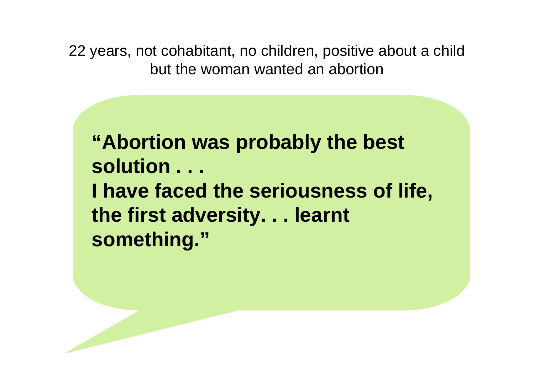22 years, not cohabitant, no children, positive about a child but the woman wanted an abortion

**"Abortion was probably the best solution . . . I have faced the seriousness of life, the first adversity. . . learnt something."**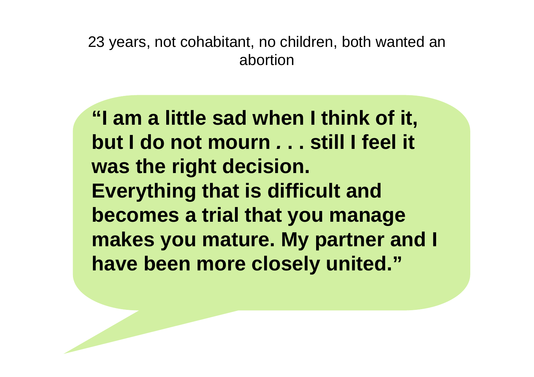23 years, not cohabitant, no children, both wanted an abortion

**"I am a little sad when I think of it, but I do not mourn** *.* **. . still I feel it was the right decision. Everything that is difficult and becomes a trial that you manage makes you mature. My partner and I have been more closely united."**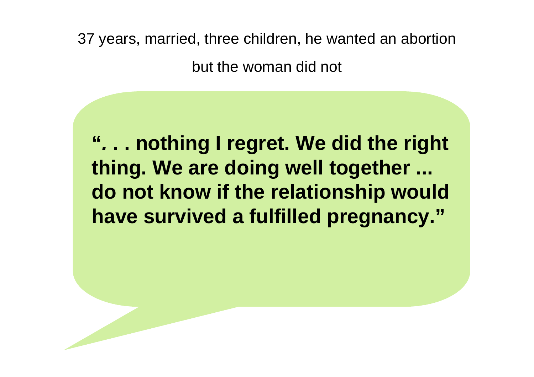37 years, married, three children, he wanted an abortion

but the woman did not

**"** *.* **. . nothing I regret. We did the right thing. We are doing well together ... do not know if the relationship would have survived a fulfilled pregnancy."**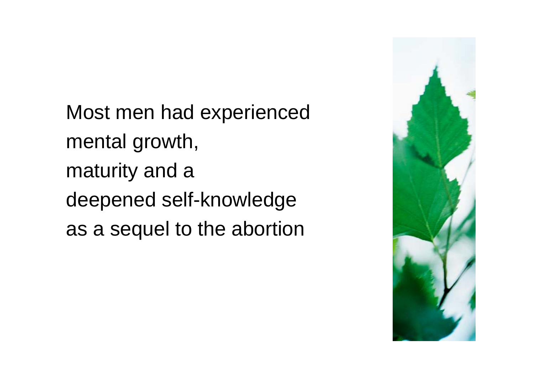Most men had experienced mental growth, maturity and a deepened self-knowledge as a sequel to the abortion

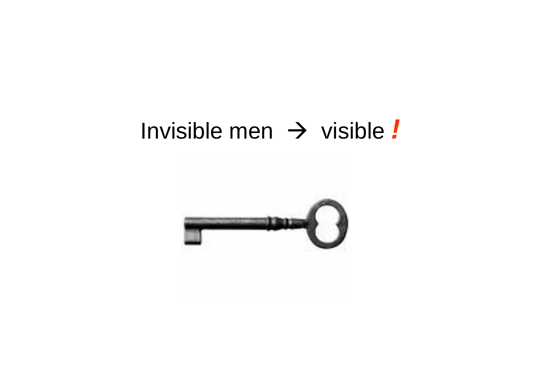### Invisible men  $\rightarrow$  visible  $\prime$

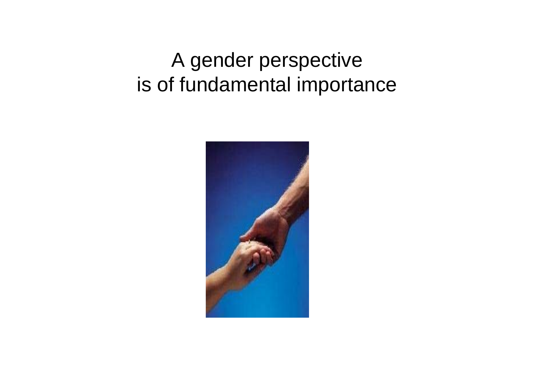### A gender perspective is of fundamental importance

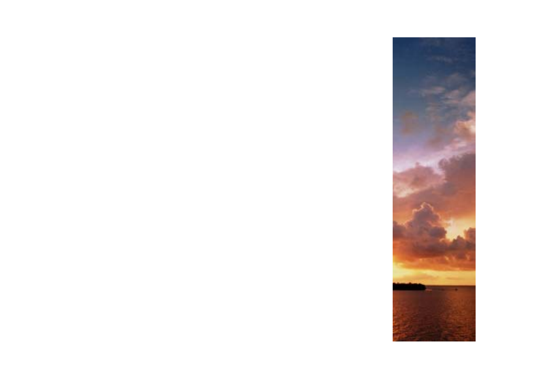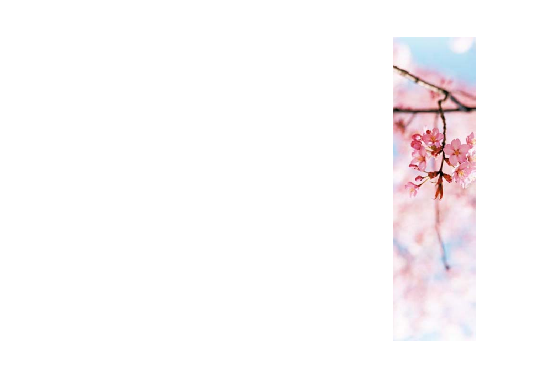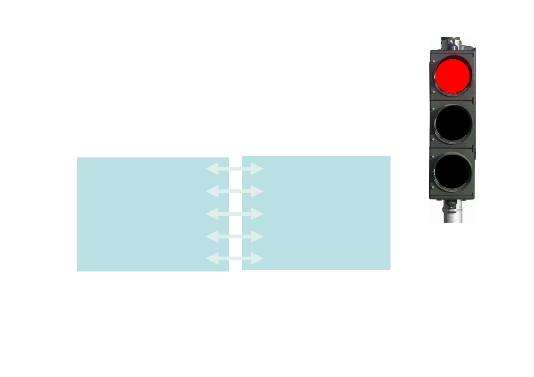



 $\frac{1}{2}$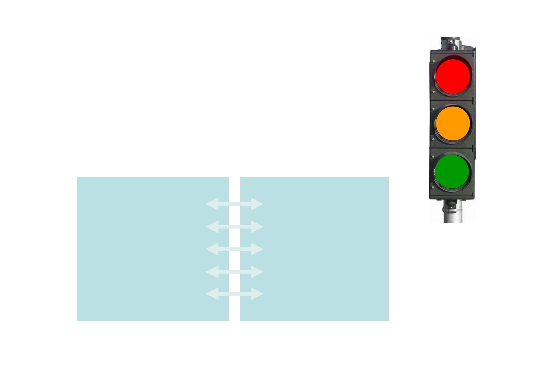

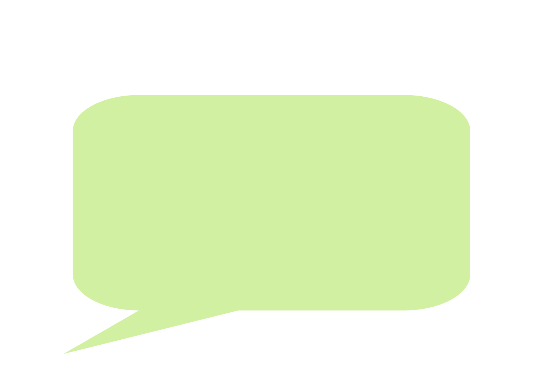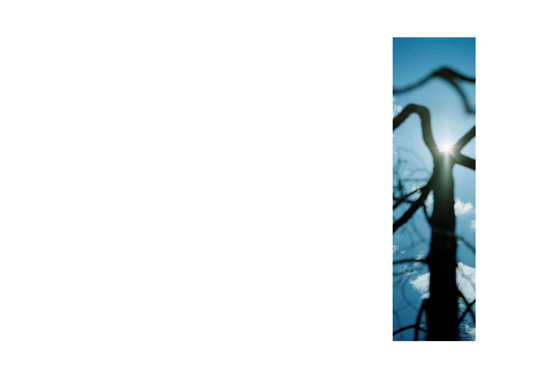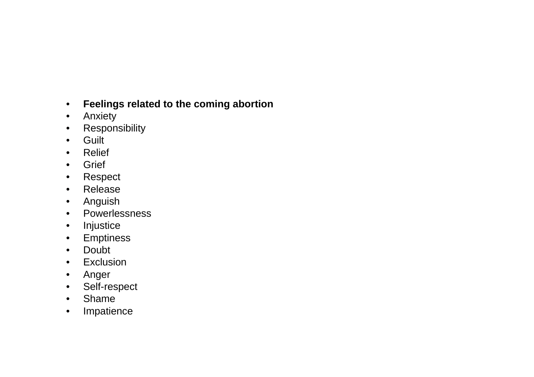#### • **Feelings related to the coming abortion**

- Anxiety
- Responsibility
- Guilt
- Relief
- Grief
- Respect
- Release
- Anguish
- Powerlessness
- Injustice
- Emptiness
- Doubt
- Exclusion
- Anger
- Self-respect
- Shame
- Impatience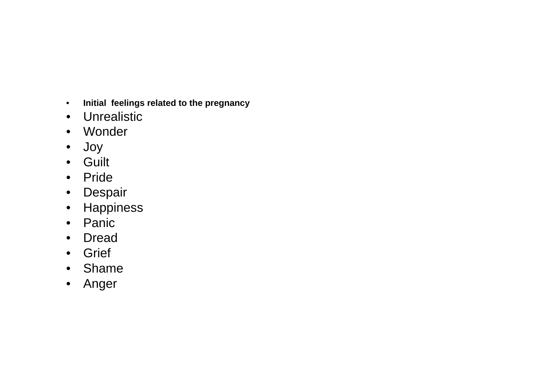- **Initial feelings related to the pregnancy**
- Unrealistic
- Wonder
- Joy
- Guilt
- Pride
- Despair
- Happiness
- Panic
- Dread
- Grief
- Shame
- Anger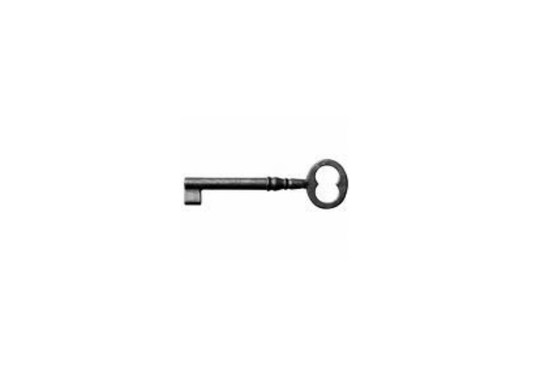